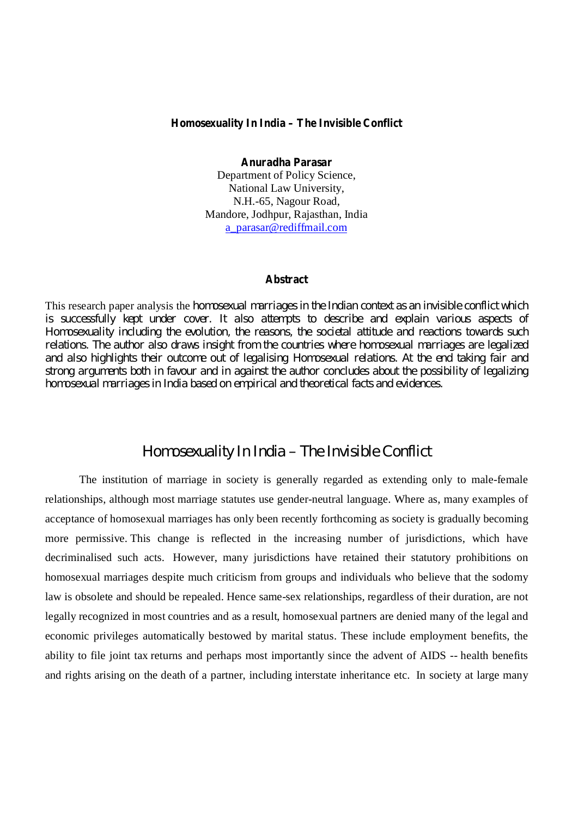#### **Homosexuality In India – The Invisible Conflict**

**Anuradha Parasar** Department of Policy Science, National Law University, N.H.-65, Nagour Road, Mandore, Jodhpur, Rajasthan, India a\_parasar@rediffmail.com

#### **Abstract**

This research paper analysis the *homosexual marriages in the Indian context as an invisible conflict which is successfully kept under cover. It also attempts to describe and explain various aspects of Homosexuality including the evolution, the reasons, the societal attitude and reactions towards such relations. The author also draws insight from the countries where homosexual marriages are legalized and also highlights their outcome out of legalising Homosexual relations. At the end taking fair and strong arguments both in favour and in against the author concludes about the possibility of legalizing homosexual marriages in India based on empirical and theoretical facts and evidences.*

# *Homosexuality In India – The Invisible Conflict*

The institution of marriage in society is generally regarded as extending only to male-female relationships, although most marriage statutes use gender-neutral language. Where as, many examples of acceptance of homosexual marriages has only been recently forthcoming as society is gradually becoming more permissive. This change is reflected in the increasing number of jurisdictions, which have decriminalised such acts. However, many jurisdictions have retained their statutory prohibitions on homosexual marriages despite much criticism from groups and individuals who believe that the sodomy law is obsolete and should be repealed. Hence same-sex relationships, regardless of their duration, are not legally recognized in most countries and as a result, homosexual partners are denied many of the legal and economic privileges automatically bestowed by marital status. These include employment benefits, the ability to file joint tax returns and perhaps most importantly since the advent of AIDS -- health benefits and rights arising on the death of a partner, including interstate inheritance etc. In society at large many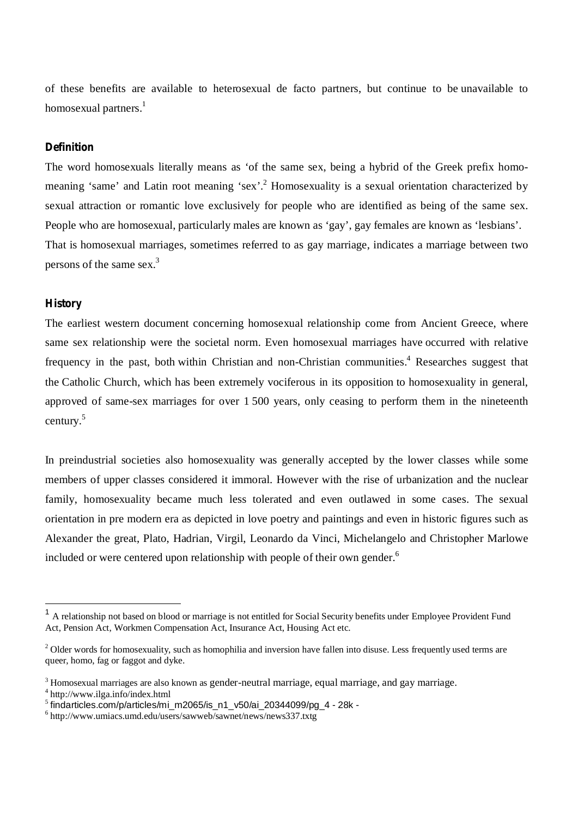of these benefits are available to heterosexual de facto partners, but continue to be unavailable to homosexual partners. 1

### **Definition**

The word homosexuals literally means as 'of the same sex, being a hybrid of the Greek prefix homomeaning 'same' and Latin root meaning 'sex'.<sup>2</sup> Homosexuality is a sexual orientation characterized by sexual attraction or romantic love exclusively for people who are identified as being of the same sex. People who are homosexual, particularly males are known as 'gay', gay females are known as 'lesbians'. That is homosexual marriages, sometimes referred to as gay marriage, indicates a marriage between two persons of the same sex.<sup>3</sup>

### **History**

The earliest western document concerning homosexual relationship come from Ancient Greece, where same sex relationship were the societal norm. Even homosexual marriages have occurred with relative frequency in the past, both within Christian and non-Christian communities.<sup>4</sup> Researches suggest that the Catholic Church, which has been extremely vociferous in its opposition to homosexuality in general, approved of same-sex marriages for over 1 500 years, only ceasing to perform them in the nineteenth century. 5

In preindustrial societies also homosexuality was generally accepted by the lower classes while some members of upper classes considered it immoral. However with the rise of urbanization and the nuclear family, homosexuality became much less tolerated and even outlawed in some cases. The sexual orientation in pre modern era as depicted in love poetry and paintings and even in historic figures such as Alexander the great, Plato, Hadrian, Virgil, Leonardo da Vinci, Michelangelo and Christopher Marlowe included or were centered upon relationship with people of their own gender.<sup>6</sup>

<sup>1</sup> A relationship not based on blood or marriage is not entitled for Social Security benefits under Employee Provident Fund Act, Pension Act, Workmen Compensation Act, Insurance Act, Housing Act etc.

<sup>&</sup>lt;sup>2</sup> Older words for homosexuality, such as homophilia and inversion have fallen into disuse. Less frequently used terms are queer, homo, fag or faggot and dyke.

<sup>&</sup>lt;sup>3</sup> Homosexual marriages are also known as gender-neutral marriage, equal marriage, and gay marriage.

<sup>4</sup> <http://www.ilga.info/index.html>

<sup>5</sup> findarticles.com/p/articles/mi\_m2065/is\_n1\_v50/ai\_20344099/pg\_4 - 28k -

<sup>6</sup> <http://www.umiacs.umd.edu/users/sawweb/sawnet/news/news337.txtg>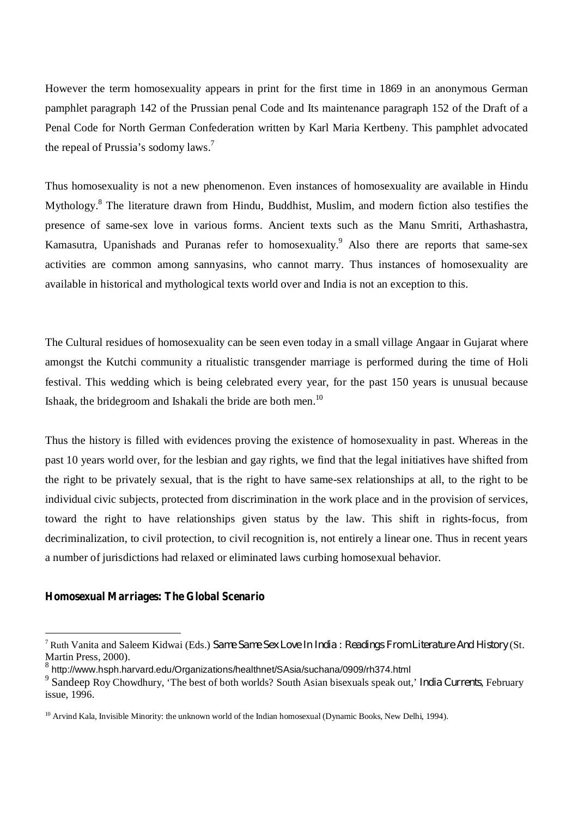However the term homosexuality appears in print for the first time in 1869 in an anonymous German pamphlet paragraph 142 of the Prussian penal Code and Its maintenance paragraph 152 of the Draft of a Penal Code for North German Confederation written by Karl Maria Kertbeny. This pamphlet advocated the repeal of Prussia's sodomy laws.<sup>7</sup>

Thus homosexuality is not a new phenomenon. Even instances of homosexuality are available in Hindu Mythology.<sup>8</sup> The literature drawn from Hindu, Buddhist, Muslim, and modern fiction also testifies the presence of same-sex love in various forms. Ancient texts such as the Manu Smriti, Arthashastra, Kamasutra, Upanishads and Puranas refer to homosexuality.<sup>9</sup> Also there are reports that same-sex activities are common among sannyasins, who cannot marry. Thus instances of homosexuality are available in historical and mythological texts world over and India is not an exception to this.

The Cultural residues of homosexuality can be seen even today in a small village Angaar in Gujarat where amongst the Kutchi community a ritualistic transgender marriage is performed during the time of Holi festival. This wedding which is being celebrated every year, for the past 150 years is unusual because Ishaak, the bridegroom and Ishakali the bride are both men.<sup>10</sup>

Thus the history is filled with evidences proving the existence of homosexuality in past. Whereas in the past 10 years world over, for the lesbian and gay rights, we find that the legal initiatives have shifted from the right to be privately sexual, that is the right to have same-sex relationships at all, to the right to be individual civic subjects, protected from discrimination in the work place and in the provision of services, toward the right to have relationships given status by the law. This shift in rights-focus, from decriminalization, to civil protection, to civil recognition is, not entirely a linear one. Thus in recent years a number of jurisdictions had relaxed or eliminated laws curbing homosexual behavior.

### **Homosexual Marriages: The Global Scenario**

<sup>7</sup> Ruth Vanita and Saleem Kidwai (Eds.) *Same Same Sex Love In India : Readings From Literature And History* (St. Martin Press, 2000).

 $^8$  <http://www.hsph.harvard.edu/Organizations/healthnet/SAsia/suchana/0909/rh374.html>

<sup>9</sup> Sandeep Roy Chowdhury, 'The best of both worlds? South Asian bisexuals speak out,' *India Currents*, February issue, 1996.

<sup>&</sup>lt;sup>10</sup> Arvind Kala, Invisible Minority: the unknown world of the Indian homosexual (Dynamic Books, New Delhi, 1994).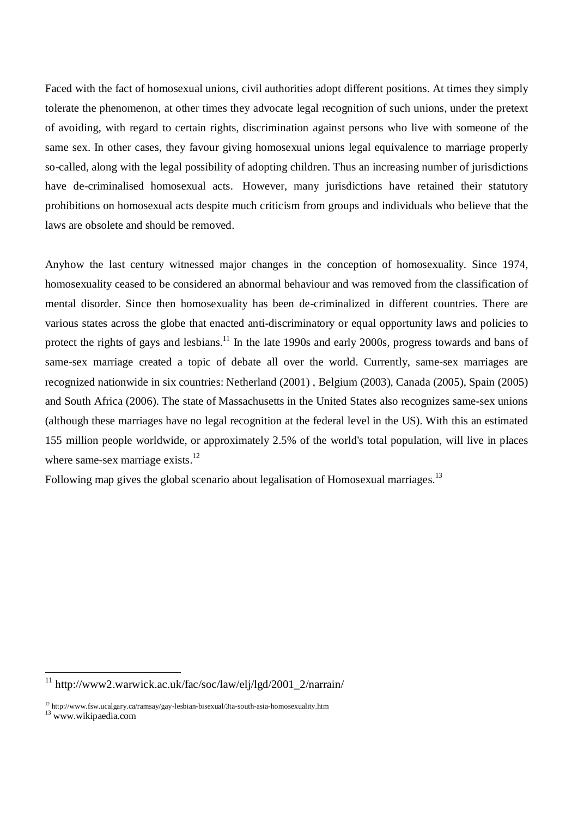Faced with the fact of homosexual unions, civil authorities adopt different positions. At times they simply tolerate the phenomenon, at other times they advocate legal recognition of such unions, under the pretext of avoiding, with regard to certain rights, discrimination against persons who live with someone of the same sex. In other cases, they favour giving homosexual unions legal equivalence to marriage properly so-called, along with the legal possibility of adopting children. Thus an increasing number of jurisdictions have de-criminalised homosexual acts. However, many jurisdictions have retained their statutory prohibitions on homosexual acts despite much criticism from groups and individuals who believe that the laws are obsolete and should be removed.

Anyhow the last century witnessed major changes in the conception of homosexuality. Since 1974, homosexuality ceased to be considered an abnormal behaviour and was removed from the classification of mental disorder. Since then homosexuality has been de-criminalized in different countries. There are various states across the globe that enacted anti-discriminatory or equal opportunity laws and policies to protect the rights of gays and lesbians.<sup>11</sup> In the late 1990s and early 2000s, progress towards and bans of same-sex marriage created a topic of debate all over the world. Currently, same-sex marriages are recognized nationwide in six countries: Netherland (2001) , Belgium (2003), Canada (2005), Spain (2005) and South Africa (2006). The state of Massachusetts in the United States also recognizes same-sex unions (although these marriages have no legal recognition at the federal level in the US). With this an estimated 155 million people worldwide, or approximately 2.5% of the world's total population, will live in places where same-sex marriage exists.<sup>12</sup>

Following map gives the global scenario about legalisation of Homosexual marriages.<sup>13</sup>

<sup>11</sup> [http://www2.warwick.ac.uk/fac/soc/law/elj/lgd/2001\\_2/narrain/](http://www2.warwick.ac.uk/fac/soc/law/elj/lgd/2001_2/narrain/)

<sup>&</sup>lt;sup>12</sup><http://www.fsw.ucalgary.ca/ramsay/gay-lesbian-bisexual/3ta-south-asia-homosexuality.htm> <sup>13</sup> [www.wikipaedia.com](http://www.wikipaedia.com)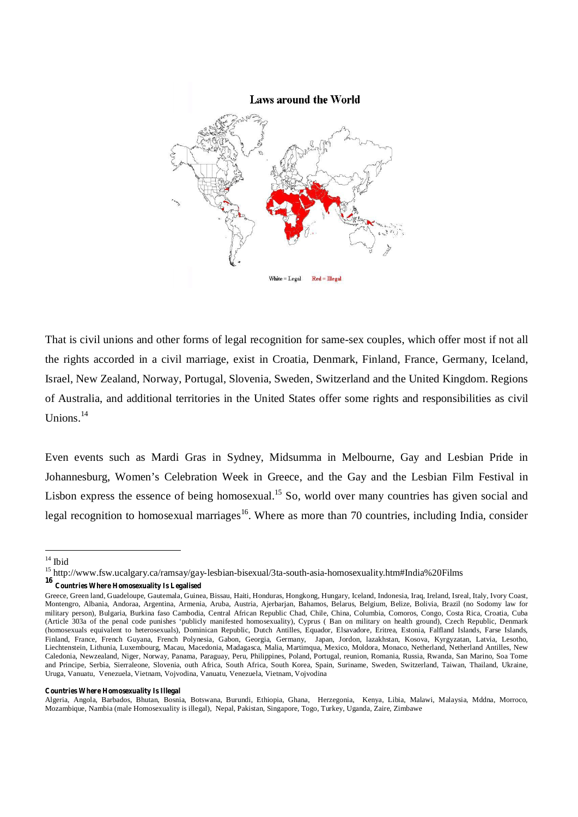

That is civil unions and other forms of legal recognition for same-sex couples, which offer most if not all the rights accorded in a civil marriage, exist in Croatia, Denmark, Finland, France, Germany, Iceland, Israel, New Zealand, Norway, Portugal, Slovenia, Sweden, Switzerland and the United Kingdom. Regions of Australia, and additional territories in the United States offer some rights and responsibilities as civil Unions.<sup>14</sup>

Even events such as Mardi Gras in Sydney, Midsumma in Melbourne, Gay and Lesbian Pride in Johannesburg, Women's Celebration Week in Greece, and the Gay and the Lesbian Film Festival in Lisbon express the essence of being homosexual.<sup>15</sup> So, world over many countries has given social and legal recognition to homosexual marriages<sup>16</sup>. Where as more than 70 countries, including India, consider

 $14$  Ibid

<sup>&</sup>lt;sup>15</sup> <http://www.fsw.ucalgary.ca/ramsay/gay-lesbian-bisexual/3ta-south-asia-homosexuality.htm#India%20Films>

**<sup>16</sup> Countries Where Homosexuality Is Legalised**

Greece, Green land, Guadeloupe, Gautemala, Guinea, Bissau, Haiti, Honduras, Hongkong, Hungary, Iceland, Indonesia, Iraq, Ireland, Isreal, Italy, Ivory Coast, Montengro, Albania, Andoraa, Argentina, Armenia, Aruba, Austria, Ajerbarjan, Bahamos, Belarus, Belgium, Belize, Bolivia, Brazil (no Sodomy law for military person), Bulgaria, Burkina faso Cambodia, Central African Republic Chad, Chile, China, Columbia, Comoros, Congo, Costa Rica, Croatia, Cuba (Article 303a of the penal code punishes 'publicly manifested homosexuality), Cyprus ( Ban on military on health ground), Czech Republic, Denmark (homosexuals equivalent to heterosexuals), Dominican Republic, Dutch Antilles, Equador, Elsavadore, Eritrea, Estonia, Falfland Islands, Farse Islands, Finland, France, French Guyana, French Polynesia, Gabon, Georgia, Germany, Japan, Jordon, lazakhstan, Kosova, Kyrgyzatan, Latvia, Lesotho, Liechtenstein, Lithunia, Luxembourg, Macau, Macedonia, Madagasca, Malia, Martimqua, Mexico, Moldora, Monaco, Netherland, Netherland Antilles, New Caledonia, Newzealand, Niger, Norway, Panama, Paraguay, Peru, Philippines, Poland, Portugal, reunion, Romania, Russia, Rwanda, San Marino, Soa Tome and Principe, Serbia, Sierraleone, Slovenia, outh Africa, South Africa, South Korea, Spain, Suriname, Sweden, Switzerland, Taiwan, Thailand, Ukraine, Uruga, Vanuatu, Venezuela, Vietnam, Vojvodina, Vanuatu, Venezuela, Vietnam, Vojvodina

**Countries Where Homosexuality Is Illegal**

Algeria, Angola, Barbados, Bhutan, Bosnia, Botswana, Burundi, Ethiopia, Ghana, Herzegonia, Kenya, Libia, Malawi, Malaysia, Mddna, Morroco, Mozambique, Nambia (male Homosexuality is illegal), Nepal, Pakistan, Singapore, Togo, Turkey, Uganda, Zaire, Zimbawe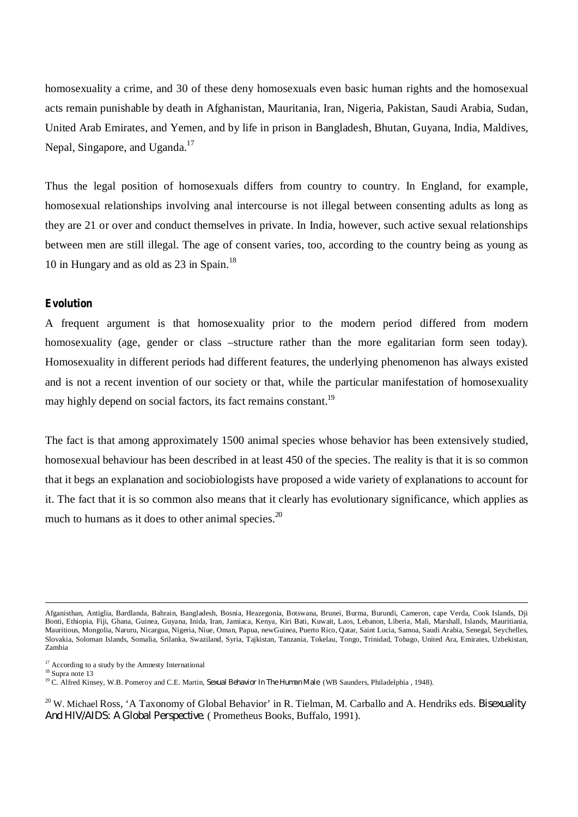homosexuality a crime, and 30 of these deny homosexuals even basic human rights and the homosexual acts remain punishable by death in Afghanistan, Mauritania, Iran, Nigeria, Pakistan, Saudi Arabia, Sudan, United Arab Emirates, and Yemen, and by life in prison in Bangladesh, Bhutan, Guyana, India, Maldives, Nepal, Singapore, and Uganda.<sup>17</sup>

Thus the legal position of homosexuals differs from country to country. In England, for example, homosexual relationships involving anal intercourse is not illegal between consenting adults as long as they are 21 or over and conduct themselves in private. In India, however, such active sexual relationships between men are still illegal. The age of consent varies, too, according to the country being as young as 10 in Hungary and as old as 23 in Spain.<sup>18</sup>

# **Evolution**

A frequent argument is that homosexuality prior to the modern period differed from modern homosexuality (age, gender or class –structure rather than the more egalitarian form seen today). Homosexuality in different periods had different features, the underlying phenomenon has always existed and is not a recent invention of our society or that, while the particular manifestation of homosexuality may highly depend on social factors, its fact remains constant.<sup>19</sup>

The fact is that among approximately 1500 animal species whose behavior has been extensively studied, homosexual behaviour has been described in at least 450 of the species. The reality is that it is so common that it begs an explanation and sociobiologists have proposed a wide variety of explanations to account for it. The fact that it is so common also means that it clearly has evolutionary significance, which applies as much to humans as it does to other animal species.<sup>20</sup>

<sup>17</sup> According to a study by the Amnesty International

<sup>19</sup> C. Alfred Kinsey, W.B. Pomeroy and C.E. Martin, *Sexual Behavior In The Human Male* (WB Saunders, Philadelphia , 1948).

Afganisthan, Antiglia, Bardlanda, Bahrain, Bangladesh, Bosnia, Heazegonia, Botswana, Brunei, Burma, Burundi, Cameron, cape Verda, Cook Islands, Dji Bonti, Ethiopia, Fiji, Ghana, Guinea, Guyana, Inida, Iran, Jamiaca, Kenya, Kiri Bati, Kuwait, Laos, Lebanon, Liberia, Mali, Marshall, Islands, Mauritiania, Mauritious, Mongolia, Naruru, Nicargua, Nigeria, Niue, Oman, Papua, newGuinea, Puerto Rico, Qatar, Saint Lucia, Samoa, Saudi Arabia, Senegal, Seychelles, Slovakia, Soloman Islands, Somalia, Srilanka, Swaziland, Syria, Tajkistan, Tanzania, Tokelau, Tongo, Trinidad, Tobago, United Ara, Emirates, Uzbekistan, Zambia

<sup>18</sup> Supra note 13

<sup>20</sup> W. Michael Ross, 'A Taxonomy of Global Behavior' in R. Tielman, M. Carballo and A. Hendriks eds. *Bisexuality And HIV/AIDS: A Global Perspective*. ( Prometheus Books, Buffalo, 1991).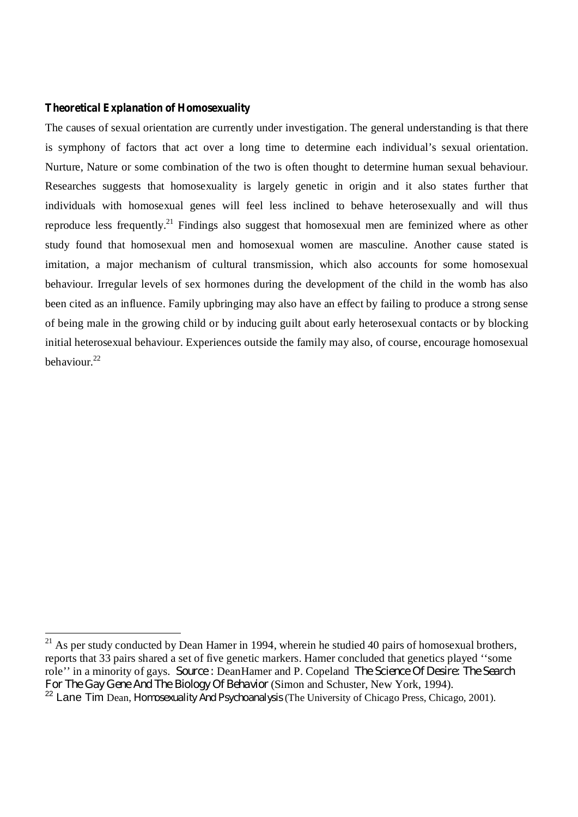#### **Theoretical Explanation of Homosexuality**

The causes of sexual orientation are currently under investigation. The general understanding is that there is symphony of factors that act over a long time to determine each individual's sexual orientation. Nurture, Nature or some combination of the two is often thought to determine human sexual behaviour. Researches suggests that homosexuality is largely genetic in origin and it also states further that individuals with homosexual genes will feel less inclined to behave heterosexually and will thus reproduce less frequently.<sup>21</sup> Findings also suggest that homosexual men are feminized where as other study found that homosexual men and homosexual women are masculine. Another cause stated is imitation, a major mechanism of cultural transmission, which also accounts for some homosexual behaviour. Irregular levels of sex hormones during the development of the child in the womb has also been cited as an influence. Family upbringing may also have an effect by failing to produce a strong sense of being male in the growing child or by inducing guilt about early heterosexual contacts or by blocking initial heterosexual behaviour. Experiences outside the family may also, of course, encourage homosexual behaviour.<sup>22</sup>

 $21$  As per study conducted by Dean Hamer in 1994, wherein he studied 40 pairs of homosexual brothers, reports that 33 pairs shared a set of five genetic markers. Hamer concluded that genetics played ''some role'' in a minority of gays. *Source :* DeanHamer and P. Copeland *The Science Of Desire: The Search For The Gay Gene And The Biology Of Behavior* (Simon and Schuster, New York, 1994).

<sup>22</sup> Lane Tim Dean, *Homosexuality And Psychoanalysis* (The University of Chicago Press, Chicago, 2001).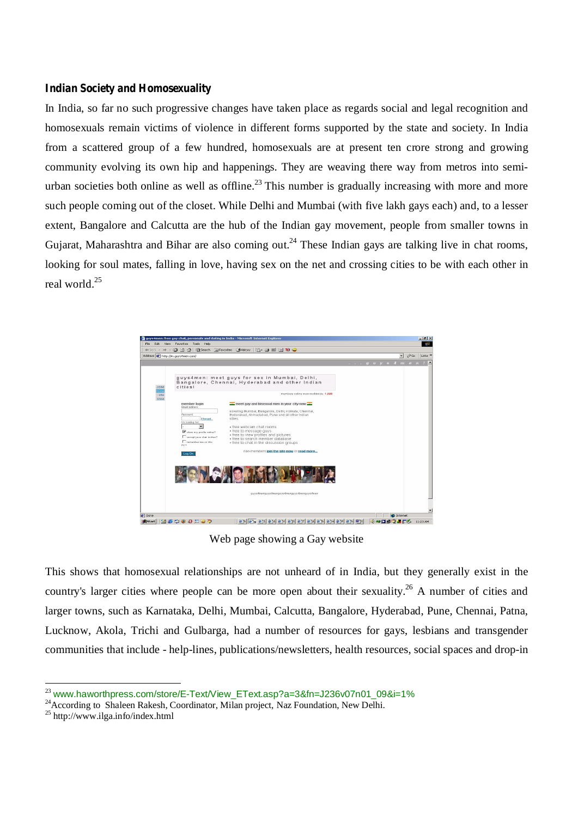## **Indian Society and Homosexuality**

In India, so far no such progressive changes have taken place as regards social and legal recognition and homosexuals remain victims of violence in different forms supported by the state and society. In India from a scattered group of a few hundred, homosexuals are at present ten crore strong and growing community evolving its own hip and happenings. They are weaving there way from metros into semiurban societies both online as well as offline.<sup>23</sup> This number is gradually increasing with more and more such people coming out of the closet. While Delhi and Mumbai (with five lakh gays each) and, to a lesser extent, Bangalore and Calcutta are the hub of the Indian gay movement, people from smaller towns in Gujarat, Maharashtra and Bihar are also coming out.<sup>24</sup> These Indian gays are talking live in chat rooms, looking for soul mates, falling in love, having sex on the net and crossing cities to be with each other in real world. 25



Web page showing a Gay website

This shows that homosexual relationships are not unheard of in India, but they generally exist in the country's larger cities where people can be more open about their sexuality.<sup>26</sup> A number of cities and larger towns, such as Karnataka, Delhi, Mumbai, Calcutta, Bangalore, Hyderabad, Pune, Chennai, Patna, Lucknow, Akola, Trichi and Gulbarga, had a number of resources for gays, lesbians and transgender communities that include - help-lines, publications/newsletters, health resources, social spaces and drop-in

<sup>&</sup>lt;sup>23</sup> [www.haworthpress.com/store/E-Text/View\\_EText.asp?a=3&fn=J236v07n01\\_09&i=1%](http://www.haworthpress.com/store/E-Text/View_EText.asp?a=3&fn=J236v07n01_09&i=1%)  $^{24}$ According to Shaleen Rakesh, Coordinator, Milan project, Naz Foundation, New Delhi.

<sup>&</sup>lt;sup>25</sup> <http://www.ilga.info/index.html>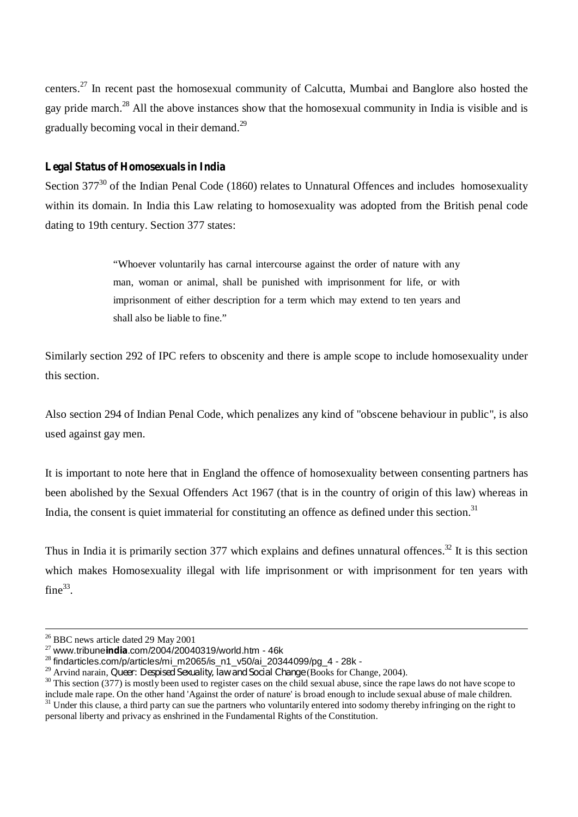centers.<sup>27</sup> In recent past the homosexual community of Calcutta, Mumbai and Banglore also hosted the gay pride march.<sup>28</sup> All the above instances show that the homosexual community in India is visible and is gradually becoming vocal in their demand.<sup>29</sup>

## **Legal Status of Homosexuals in India**

Section 377<sup>30</sup> of the Indian Penal Code (1860) relates to Unnatural Offences and includes homosexuality within its domain. In India this Law relating to homosexuality was adopted from the British penal code dating to 19th century. Section 377 states:

> "Whoever voluntarily has carnal intercourse against the order of nature with any man, woman or animal, shall be punished with imprisonment for life, or with imprisonment of either description for a term which may extend to ten years and shall also be liable to fine."

Similarly section 292 of IPC refers to obscenity and there is ample scope to include homosexuality under this section.

Also section 294 of Indian Penal Code, which penalizes any kind of "obscene behaviour in public", is also used against gay men.

It is important to note here that in England the offence of homosexuality between consenting partners has been abolished by the Sexual Offenders Act 1967 (that is in the country of origin of this law) whereas in India, the consent is quiet immaterial for constituting an offence as defined under this section.<sup>31</sup>

Thus in India it is primarily section 377 which explains and defines unnatural offences.<sup>32</sup> It is this section which makes Homosexuality illegal with life imprisonment or with imprisonment for ten years with fine $33$ .

<sup>&</sup>lt;sup>26</sup> BBC news article dated 29 May 2001

<sup>27</sup> www.tribune**india**[.com/2004/20040319/world.htm](http://www.tribuneindia.com/2004/20040319/world.htm) - 46k

<sup>&</sup>lt;sup>28</sup> findarticles.com/p/articles/mi\_m2065/is\_n1\_v50/ai\_20344099/pg\_4 - 28k -

<sup>29</sup> Arvind narain, *Queer: Despised Sexuality, law and Social Change* (Books for Change, 2004).

 $30$  This section (377) is mostly been used to register cases on the child sexual abuse, since the rape laws do not have scope to include male rape. On the other hand 'Against the order of nature' is broad enough to include sexual abuse of male children.

<sup>&</sup>lt;sup>31</sup> Under this clause, a third party can sue the partners who voluntarily entered into sodomy thereby infringing on the right to personal liberty and privacy as enshrined in the Fundamental Rights of the Constitution.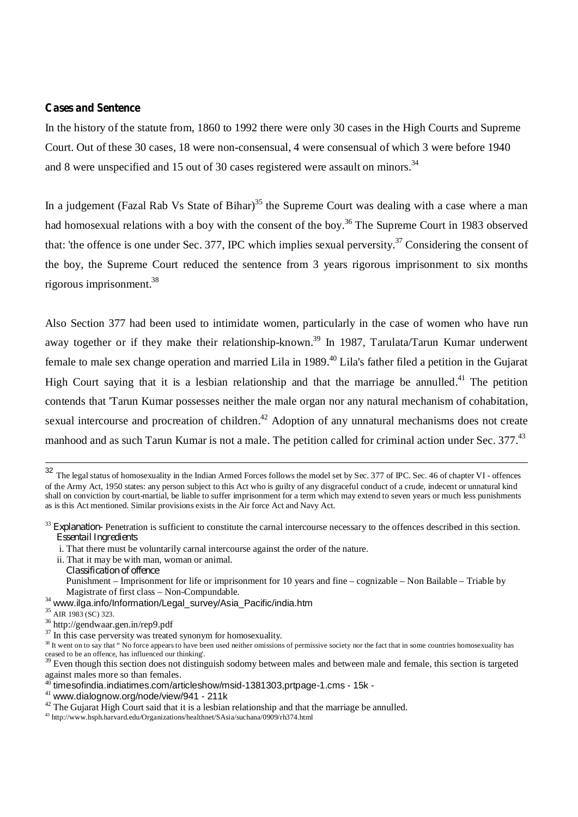#### **Cases and Sentence**

In the history of the statute from, 1860 to 1992 there were only 30 cases in the High Courts and Supreme Court. Out of these 30 cases, 18 were non-consensual, 4 were consensual of which 3 were before 1940 and 8 were unspecified and 15 out of 30 cases registered were assault on minors.<sup>34</sup>

In a judgement (Fazal Rab Vs State of Bihar)<sup>35</sup> the Supreme Court was dealing with a case where a man had homosexual relations with a boy with the consent of the boy.<sup>36</sup> The Supreme Court in 1983 observed that: 'the offence is one under Sec. 377, IPC which implies sexual perversity.<sup>37</sup> Considering the consent of the boy, the Supreme Court reduced the sentence from 3 years rigorous imprisonment to six months rigorous imprisonment. 38

Also Section 377 had been used to intimidate women, particularly in the case of women who have run away together or if they make their relationship-known.<sup>39</sup> In 1987, Tarulata/Tarun Kumar underwent female to male sex change operation and married Lila in 1989. <sup>40</sup> Lila's father filed a petition in the Gujarat High Court saying that it is a lesbian relationship and that the marriage be annulled.<sup>41</sup> The petition contends that 'Tarun Kumar possesses neither the male organ nor any natural mechanism of cohabitation, sexual intercourse and procreation of children.<sup>42</sup> Adoption of any unnatural mechanisms does not create manhood and as such Tarun Kumar is not a male. The petition called for criminal action under Sec. 377.<sup>43</sup>

- ii. That it may be with man, woman or animal.
- *Classification of offence*

- <sup>34</sup> [www.ilga.info/Information/Legal\\_survey/Asia\\_Pacific/india.htm](http://www.ilga.info/Information/Legal_survey/Asia_Pacific/india.htm)
- 35 AIR 1983 (SC) 323.
- 36 <http://gendwaar.gen.in/rep9.pdf>

40 timesofindia.indiatimes.com/articleshow/msid-1381303,prtpage-1.cms - 15k -

<sup>32</sup> The legal status of homosexuality in the Indian Armed Forces follows the model set by Sec. 377 of IPC. Sec. 46 of chapter VI - offences of the Army Act, 1950 states: any person subject to this Act who is guilty of any disgraceful conduct of a crude, indecent or unnatural kind shall on conviction by court-martial, be liable to suffer imprisonment for a term which may extend to seven years or much less punishments as is this Act mentioned. Similar provisions exists in the Air force Act and Navy Act.

<sup>&</sup>lt;sup>33</sup> Explanation-Penetration is sufficient to constitute the carnal intercourse necessary to the offences described in this section. *Essentail Ingredients*

i. That there must be voluntarily carnal intercourse against the order of the nature.

Punishment – Imprisonment for life or imprisonment for 10 years and fine – cognizable – Non Bailable – Triable by Magistrate of first class – Non-Compundable.

<sup>&</sup>lt;sup>37</sup> In this case perversity was treated synonym for homosexuality.

<sup>&</sup>lt;sup>38</sup> It went on to say that " No force appears to have been used neither omissions of permissive society nor the fact that in some countries homosexuality has ceased to be an offence, has influenced our thinking'.

<sup>&</sup>lt;sup>39</sup> Even though this section does not distinguish sodomy between males and between male and female, this section is targeted against males more so than females.

<sup>41</sup> [www.dialognow.org/node/view/941](http://www.dialognow.org/node/view/941) - 211k

 $42$  The Gujarat High Court said that it is a lesbian relationship and that the marriage be annulled.

<sup>43</sup> <http://www.hsph.harvard.edu/Organizations/healthnet/SAsia/suchana/0909/rh374.html>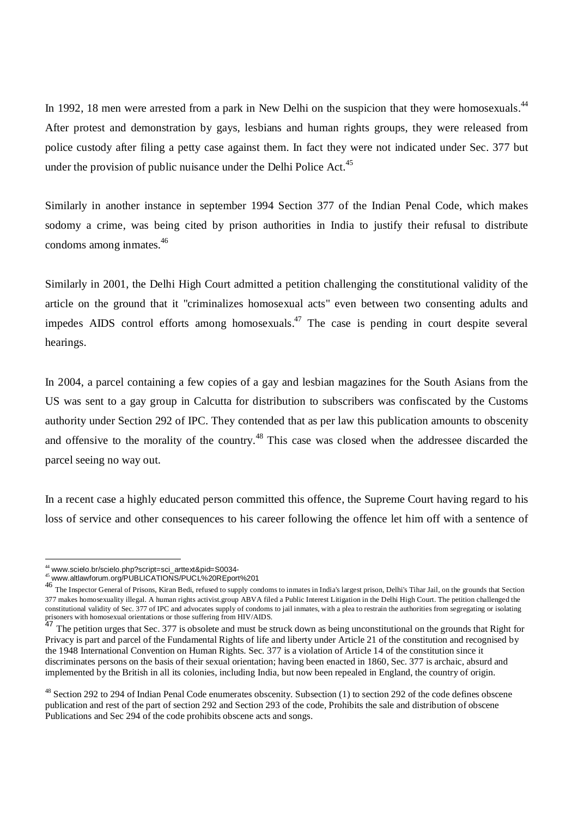In 1992, 18 men were arrested from a park in New Delhi on the suspicion that they were homosexuals.<sup>44</sup> After protest and demonstration by gays, lesbians and human rights groups, they were released from police custody after filing a petty case against them. In fact they were not indicated under Sec. 377 but under the provision of public nuisance under the Delhi Police Act.<sup>45</sup>

Similarly in another instance in september 1994 Section 377 of the Indian Penal Code, which makes sodomy a crime, was being cited by prison authorities in India to justify their refusal to distribute condoms among inmates. 46

Similarly in 2001, the Delhi High Court admitted a petition challenging the constitutional validity of the article on the ground that it "criminalizes homosexual acts" even between two consenting adults and impedes AIDS control efforts among homosexuals.<sup>47</sup> The case is pending in court despite several hearings.

In 2004, a parcel containing a few copies of a gay and lesbian magazines for the South Asians from the US was sent to a gay group in Calcutta for distribution to subscribers was confiscated by the Customs authority under Section 292 of IPC. They contended that as per law this publication amounts to obscenity and offensive to the morality of the country.<sup>48</sup> This case was closed when the addressee discarded the parcel seeing no way out.

In a recent case a highly educated person committed this offence, the Supreme Court having regard to his loss of service and other consequences to his career following the offence let him off with a sentence of

<sup>44</sup> [www.scielo.br/scielo.php?script=sci\\_arttext&pid=S0034-](http://www.scielo.br/scielo.php?script=sci_arttext&pid=S0034-)

<sup>45</sup> [www.altlawforum.org/PUBLICATIONS/PUCL%20REport%201](http://www.altlawforum.org/PUBLICATIONS/PUCL%20REport%201)

<sup>46</sup> The Inspector General of Prisons, Kiran Bedi, refused to supply condoms to inmates in India's largest prison, Delhi's Tihar Jail, on the grounds that Section 377 makes homosexuality illegal. A human rights activist.group ABVA filed a Public Interest Litigation in the Delhi High Court. The petition challenged the constitutional validity of Sec. 377 of IPC and advocates supply of condoms to jail inmates, with a plea to restrain the authorities from segregating or isolating prisoners with homosexual orientations or those suffering from HIV/AIDS.<br>47 The notition was a that See 277 is absolate and must be a

The petition urges that Sec. 377 is obsolete and must be struck down as being unconstitutional on the grounds that Right for Privacy is part and parcel of the Fundamental Rights of life and liberty under Article 21 of the constitution and recognised by the 1948 International Convention on Human Rights. Sec. 377 is a violation of Article 14 of the constitution since it discriminates persons on the basis of their sexual orientation; having been enacted in 1860, Sec. 377 is archaic, absurd and implemented by the British in all its colonies, including India, but now been repealed in England, the country of origin.

<sup>&</sup>lt;sup>48</sup> Section 292 to 294 of Indian Penal Code enumerates obscenity. Subsection (1) to section 292 of the code defines obscene publication and rest of the part of section 292 and Section 293 of the code, Prohibits the sale and distribution of obscene Publications and Sec 294 of the code prohibits obscene acts and songs.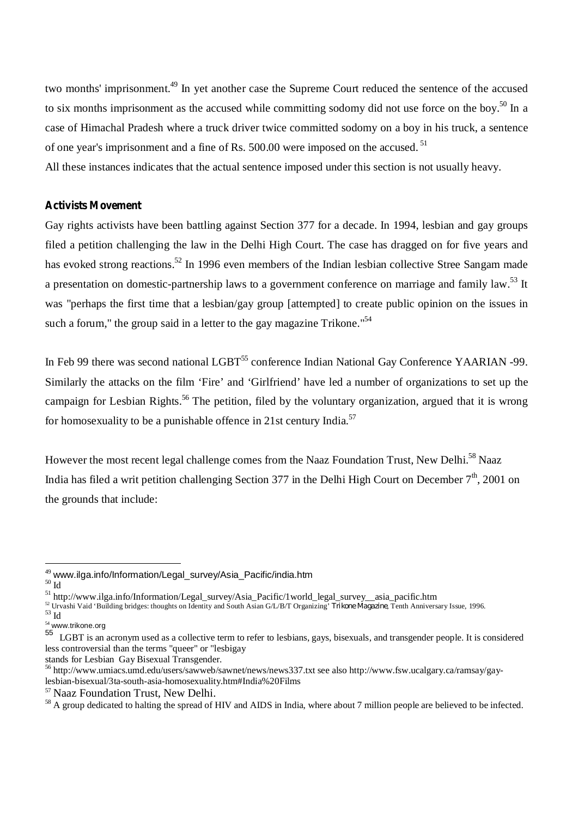two months' imprisonment.<sup>49</sup> In yet another case the Supreme Court reduced the sentence of the accused to six months imprisonment as the accused while committing sodomy did not use force on the boy.<sup>50</sup> In a case of Himachal Pradesh where a truck driver twice committed sodomy on a boy in his truck, a sentence of one year's imprisonment and a fine of Rs. 500.00 were imposed on the accused.<sup>51</sup>

All these instances indicates that the actual sentence imposed under this section is not usually heavy.

# **Activists Movement**

Gay rights activists have been battling against Section 377 for a decade. In 1994, lesbian and gay groups filed a petition challenging the law in the Delhi High Court. The case has dragged on for five years and has evoked strong reactions.<sup>52</sup> In 1996 even members of the Indian lesbian collective Stree Sangam made a presentation on domestic-partnership laws to a government conference on marriage and family law.<sup>53</sup> It was "perhaps the first time that a lesbian/gay group [attempted] to create public opinion on the issues in such a forum," the group said in a letter to the gay magazine Trikone."<sup>54</sup>

In Feb 99 there was second national LGBT<sup>55</sup> conference Indian National Gay Conference YAARIAN -99. Similarly the attacks on the film 'Fire' and 'Girlfriend' have led a number of organizations to set up the campaign for Lesbian Rights.<sup>56</sup> The petition, filed by the voluntary organization, argued that it is wrong for homosexuality to be a punishable offence in 21st century India.<sup>57</sup>

However the most recent legal challenge comes from the Naaz Foundation Trust, New Delhi.<sup>58</sup> Naaz India has filed a writ petition challenging Section 377 in the Delhi High Court on December  $7^{\rm th}$ , 2001 on the grounds that include:

stands for Lesbian Gay Bisexual Transgender.

<sup>49</sup> [www.ilga.info/Information/Legal\\_survey/Asia\\_Pacific/india.htm](http://www.ilga.info/Information/Legal_survey/Asia_Pacific/india.htm)

<sup>50</sup> Id

<sup>&</sup>lt;sup>51</sup> [http://www.ilga.info/Information/Legal\\_survey/Asia\\_Pacific/1world\\_legal\\_survey\\_\\_asia\\_pacific.htm](http://www.ilga.info/Information/Legal_survey/Asia_Pacific/1world_legal_survey__asia_pacific.htm)

<sup>52</sup> Urvashi Vaid 'Building bridges: thoughts on Identity and South Asian G/L/B/T Organizing' *Trikone Magazine*, Tenth Anniversary Issue, 1996.

<sup>53</sup> Id

<sup>54</sup> [www.trikone.org](http://www.trikone.org) 55

LGBT is an acronym used as a collective term to refer to lesbians, gays, bisexuals, and transgender people. It is considered less controversial than the terms "queer" or "lesbigay

<sup>56</sup> <http://www.umiacs.umd.edu/users/sawweb/sawnet/news/news337.txt> see also [http://www.fsw.ucalgary.ca/ramsay/gay](http://www.fsw.ucalgary.ca/ramsay/gay-)lesbian-bisexual/3ta-south-asia-homosexuality.htm#India%20Films

<sup>57</sup> Naaz Foundation Trust, New Delhi.

<sup>&</sup>lt;sup>58</sup> A group dedicated to halting the spread of HIV and AIDS in India, where about 7 million people are believed to be infected.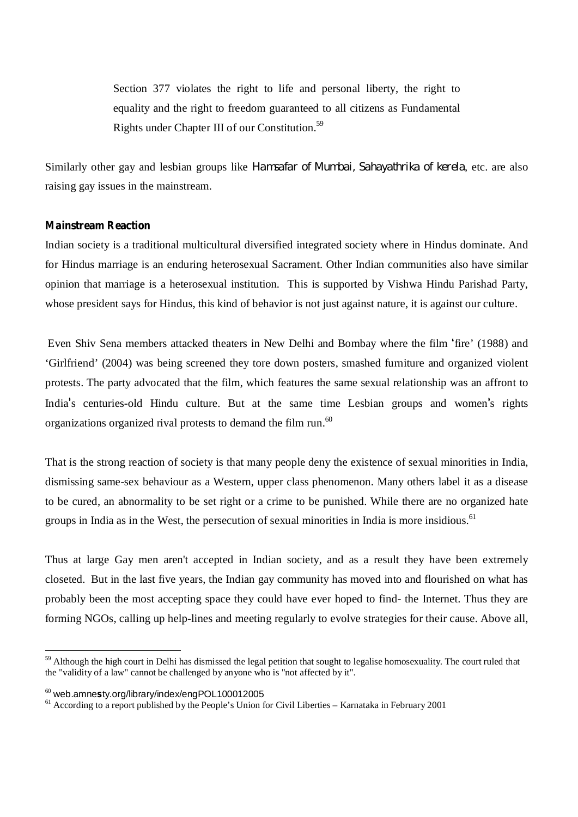Section 377 violates the right to life and personal liberty, the right to equality and the right to freedom guaranteed to all citizens as Fundamental Rights under Chapter III of our Constitution.<sup>59</sup>

Similarly other gay and lesbian groups like *Hamsafar of Mumbai, Sahayathrika of kerela*, etc. are also raising gay issues in the mainstream.

### **Mainstream Reaction**

Indian society is a traditional multicultural diversified integrated society where in Hindus dominate. And for Hindus marriage is an enduring heterosexual Sacrament. Other Indian communities also have similar opinion that marriage is a heterosexual institution. This is supported by Vishwa Hindu Parishad Party, whose president says for Hindus, this kind of behavior is not just against nature, it is against our culture.

Even Shiv Sena members attacked theaters in New Delhi and Bombay where the film fire' (1988) and 'Girlfriend' (2004) was being screened they tore down posters, smashed furniture and organized violent protests. The party advocated that the film, which features the same sexual relationship was an affront to India's centuries-old Hindu culture. But at the same time Lesbian groups and women's rights organizations organized rival protests to demand the film run.<sup>60</sup>

That is the strong reaction of society is that many people deny the existence of sexual minorities in India, dismissing same-sex behaviour as a Western, upper class phenomenon. Many others label it as a disease to be cured, an abnormality to be set right or a crime to be punished. While there are no organized hate groups in India as in the West, the persecution of sexual minorities in India is more insidious.<sup>61</sup>

Thus at large Gay men aren't accepted in Indian society, and as a result they have been extremely closeted. But in the last five years, the Indian gay community has moved into and flourished on what has probably been the most accepting space they could have ever hoped to find- the Internet. Thus they are forming NGOs, calling up help-lines and meeting regularly to evolve strategies for their cause. Above all,

<sup>&</sup>lt;sup>59</sup> Although the high court in Delhi has dismissed the legal petition that sought to legalise homosexuality. The court ruled that the "validity of a law" cannot be challenged by anyone who is "not affected by it".

<sup>60</sup> web.amne**s**ty.org/library/index/engPOL100012005

<sup>&</sup>lt;sup>61</sup> According to a report published by the People's Union for Civil Liberties – Karnataka in February 2001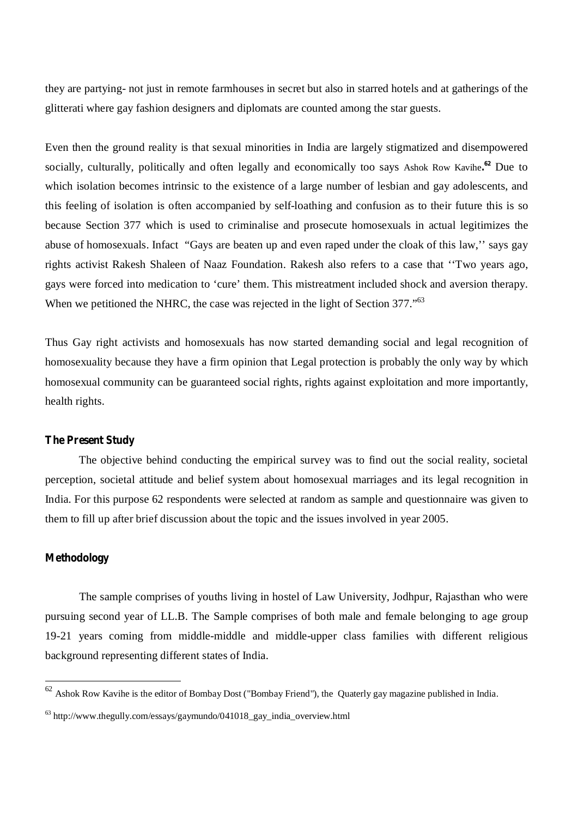they are partying- not just in remote farmhouses in secret but also in starred hotels and at gatherings of the glitterati where gay fashion designers and diplomats are counted among the star guests.

Even then the ground reality is that sexual minorities in India are largely stigmatized and disempowered socially, culturally, politically and often legally and economically too says Ashok Row Kavihe**. <sup>62</sup>** Due to which isolation becomes intrinsic to the existence of a large number of lesbian and gay adolescents, and this feeling of isolation is often accompanied by self-loathing and confusion as to their future this is so because Section 377 which is used to criminalise and prosecute homosexuals in actual legitimizes the abuse of homosexuals. Infact "Gays are beaten up and even raped under the cloak of this law,'' says gay rights activist Rakesh Shaleen of Naaz Foundation. Rakesh also refers to a case that ''Two years ago, gays were forced into medication to 'cure' them. This mistreatment included shock and aversion therapy. When we petitioned the NHRC, the case was rejected in the light of Section 377."<sup>63</sup>

Thus Gay right activists and homosexuals has now started demanding social and legal recognition of homosexuality because they have a firm opinion that Legal protection is probably the only way by which homosexual community can be guaranteed social rights, rights against exploitation and more importantly, health rights.

#### **The Present Study**

The objective behind conducting the empirical survey was to find out the social reality, societal perception, societal attitude and belief system about homosexual marriages and its legal recognition in India. For this purpose 62 respondents were selected at random as sample and questionnaire was given to them to fill up after brief discussion about the topic and the issues involved in year 2005.

### **Methodology**

The sample comprises of youths living in hostel of Law University, Jodhpur, Rajasthan who were pursuing second year of LL.B. The Sample comprises of both male and female belonging to age group 19-21 years coming from middle-middle and middle-upper class families with different religious background representing different states of India.

<sup>62</sup> Ashok Row Kavihe is the editor of Bombay Dost ("Bombay Friend"), the Quaterly gay magazine published in India.

<sup>&</sup>lt;sup>63</sup> [http://www.thegully.com/essays/gaymundo/041018\\_gay\\_india\\_overview.html](http://www.thegully.com/essays/gaymundo/041018_gay_india_overview.html)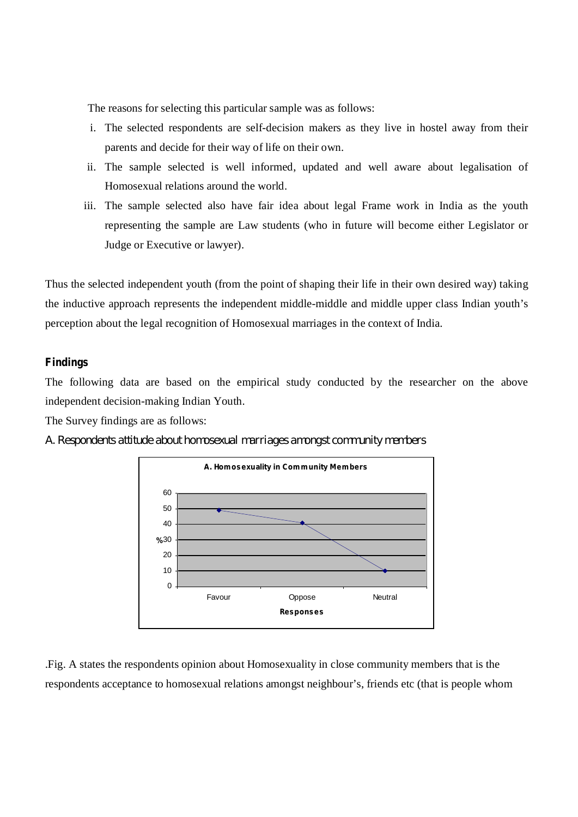The reasons for selecting this particular sample was as follows:

- i. The selected respondents are self-decision makers as they live in hostel away from their parents and decide for their way of life on their own.
- ii. The sample selected is well informed, updated and well aware about legalisation of Homosexual relations around the world.
- iii. The sample selected also have fair idea about legal Frame work in India as the youth representing the sample are Law students (who in future will become either Legislator or Judge or Executive or lawyer).

Thus the selected independent youth (from the point of shaping their life in their own desired way) taking the inductive approach represents the independent middle-middle and middle upper class Indian youth's perception about the legal recognition of Homosexual marriages in the context of India.

### **Findings**

The following data are based on the empirical study conducted by the researcher on the above independent decision-making Indian Youth.

The Survey findings are as follows:





.Fig. A states the respondents opinion about Homosexuality in close community members that is the respondents acceptance to homosexual relations amongst neighbour's, friends etc (that is people whom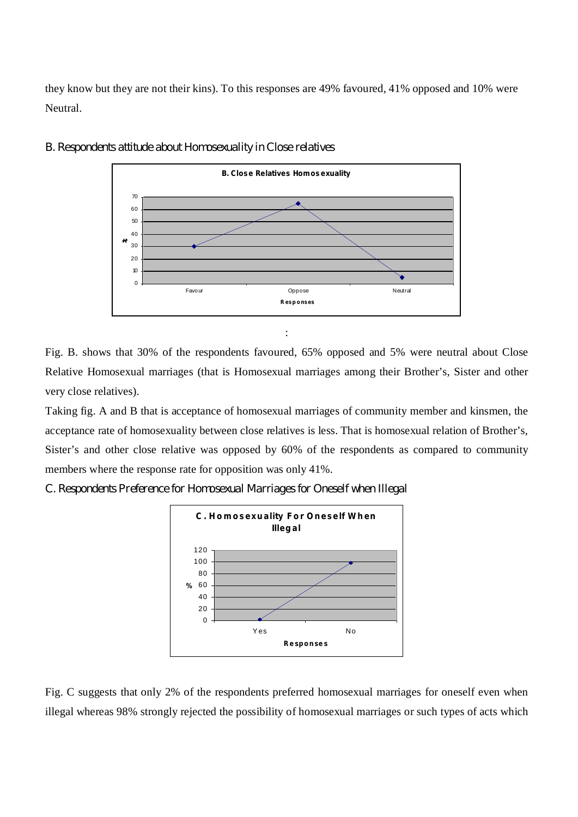they know but they are not their kins). To this responses are 49% favoured, 41% opposed and 10% were Neutral.



*B. Respondents attitude about Homosexuality in Close relatives*

Fig. B. shows that 30% of the respondents favoured, 65% opposed and 5% were neutral about Close Relative Homosexual marriages (that is Homosexual marriages among their Brother's, Sister and other very close relatives).

Taking fig. A and B that is acceptance of homosexual marriages of community member and kinsmen, the acceptance rate of homosexuality between close relatives is less. That is homosexual relation of Brother's, Sister's and other close relative was opposed by 60% of the respondents as compared to community members where the response rate for opposition was only 41%.

*C. Respondents Preference for Homosexual Marriages for Oneself when Illegal*



Fig. C suggests that only 2% of the respondents preferred homosexual marriages for oneself even when illegal whereas 98% strongly rejected the possibility of homosexual marriages or such types of acts which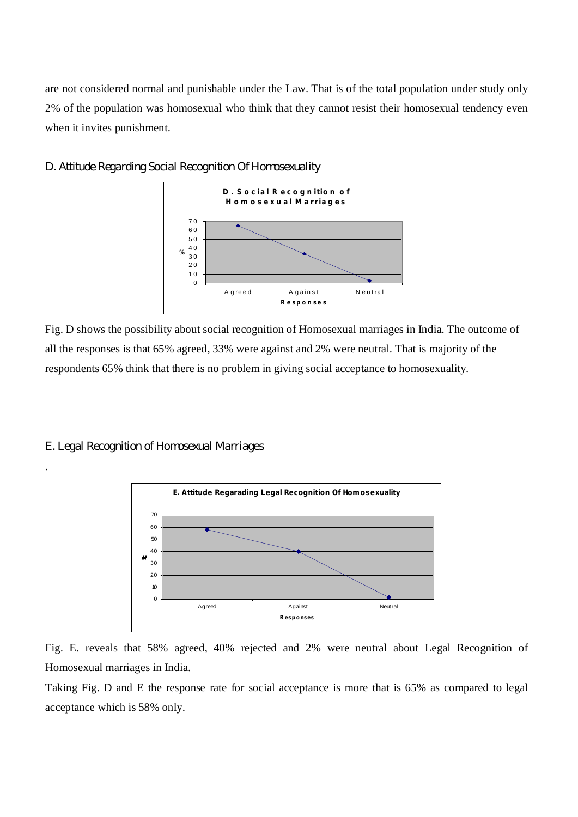are not considered normal and punishable under the Law. That is of the total population under study only 2% of the population was homosexual who think that they cannot resist their homosexual tendency even when it invites punishment.





Fig. D shows the possibility about social recognition of Homosexual marriages in India. The outcome of all the responses is that 65% agreed, 33% were against and 2% were neutral. That is majority of the respondents 65% think that there is no problem in giving social acceptance to homosexuality.

*E. Legal Recognition of Homosexual Marriages*

.



Fig. E. reveals that 58% agreed, 40% rejected and 2% were neutral about Legal Recognition of Homosexual marriages in India.

Taking Fig. D and E the response rate for social acceptance is more that is 65% as compared to legal acceptance which is 58% only.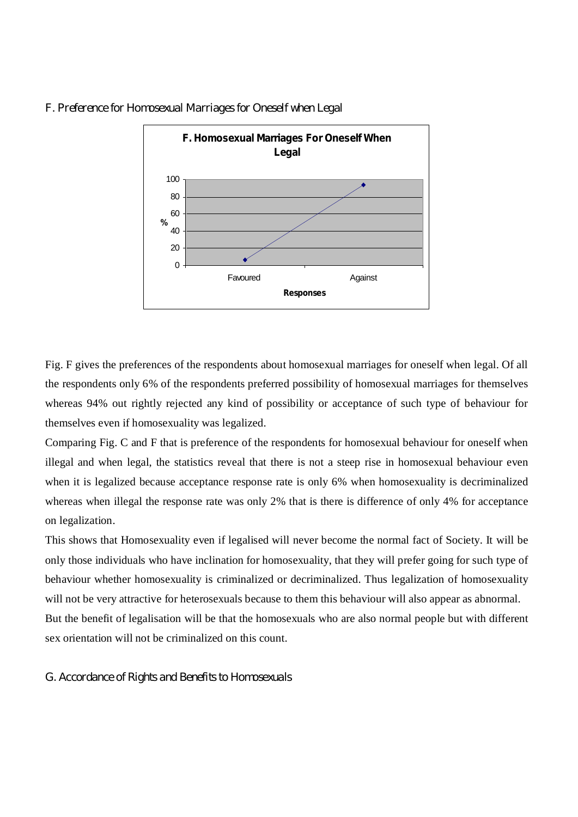

*F. Preference for Homosexual Marriages for Oneself when Legal*

Fig. F gives the preferences of the respondents about homosexual marriages for oneself when legal. Of all the respondents only 6% of the respondents preferred possibility of homosexual marriages for themselves whereas 94% out rightly rejected any kind of possibility or acceptance of such type of behaviour for themselves even if homosexuality was legalized.

Comparing Fig. C and F that is preference of the respondents for homosexual behaviour for oneself when illegal and when legal, the statistics reveal that there is not a steep rise in homosexual behaviour even when it is legalized because acceptance response rate is only 6% when homosexuality is decriminalized whereas when illegal the response rate was only 2% that is there is difference of only 4% for acceptance on legalization.

This shows that Homosexuality even if legalised will never become the normal fact of Society. It will be only those individuals who have inclination for homosexuality, that they will prefer going for such type of behaviour whether homosexuality is criminalized or decriminalized. Thus legalization of homosexuality will not be very attractive for heterosexuals because to them this behaviour will also appear as abnormal. But the benefit of legalisation will be that the homosexuals who are also normal people but with different sex orientation will not be criminalized on this count.

*G. Accordance of Rights and Benefits to Homosexuals*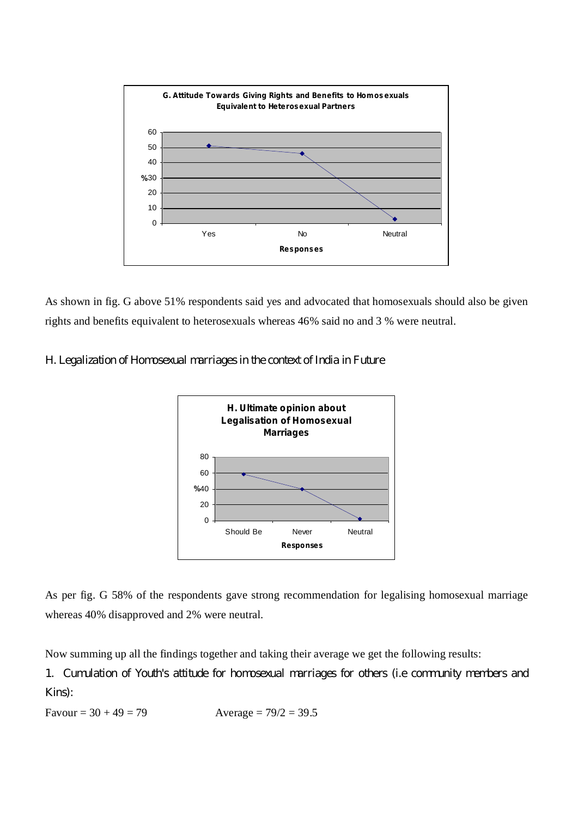

As shown in fig. G above 51% respondents said yes and advocated that homosexuals should also be given rights and benefits equivalent to heterosexuals whereas 46% said no and 3 % were neutral.

*H. Legalization of Homosexual marriages in the context of India in Future*



As per fig. G 58% of the respondents gave strong recommendation for legalising homosexual marriage whereas 40% disapproved and 2% were neutral.

Now summing up all the findings together and taking their average we get the following results:

*1. Cumulation of Youth's attitude for homosexual marriages for others (i.e community members and Kins):*

Favour =  $30 + 49 = 79$  Average =  $79/2 = 39.5$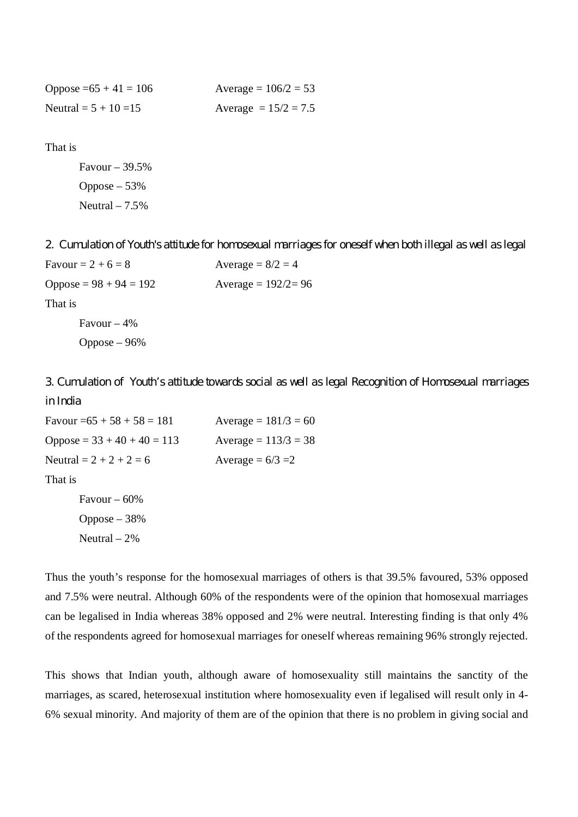| Oppose = $65 + 41 = 106$ | Average = $106/2 = 53$ |
|--------------------------|------------------------|
| Neutral = $5 + 10 = 15$  | Average $= 15/2 = 7.5$ |

That is

Favour – 39.5% Oppose  $-53%$ Neutral  $-7.5%$ 

*2. Cumulation of Youth's attitude for homosexual marriages for oneself when both illegal as well as legal*

Favour =  $2 + 6 = 8$  Average =  $8/2 = 4$ Oppose =  $98 + 94 = 192$  Average =  $192/2 = 96$ That is Favour  $-4%$ Oppose – 96%

*3. Cumulation of Youth's attitude towards social as well as legal Recognition of Homosexual marriages in India*

| Favour = $65 + 58 + 58 = 181$ | Average = $181/3 = 60$ |
|-------------------------------|------------------------|
| Oppose = $33 + 40 + 40 = 113$ | Average = $113/3 = 38$ |
| Neutral = $2 + 2 + 2 = 6$     | Average = $6/3 = 2$    |
| That is                       |                        |
| Favour $-60\%$                |                        |

Oppose – 38% Neutral – 2%

Thus the youth's response for the homosexual marriages of others is that 39.5% favoured, 53% opposed and 7.5% were neutral. Although 60% of the respondents were of the opinion that homosexual marriages can be legalised in India whereas 38% opposed and 2% were neutral. Interesting finding is that only 4% of the respondents agreed for homosexual marriages for oneself whereas remaining 96% strongly rejected.

This shows that Indian youth, although aware of homosexuality still maintains the sanctity of the marriages, as scared, heterosexual institution where homosexuality even if legalised will result only in 4- 6% sexual minority. And majority of them are of the opinion that there is no problem in giving social and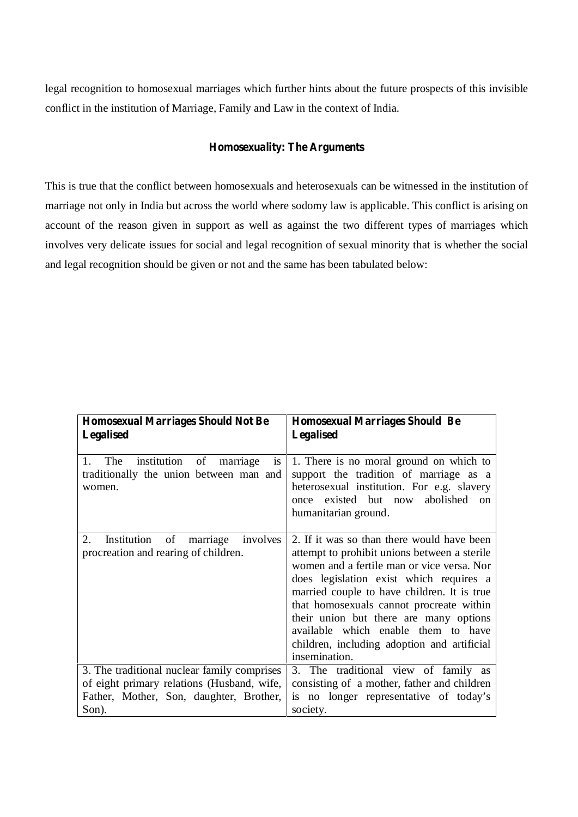legal recognition to homosexual marriages which further hints about the future prospects of this invisible conflict in the institution of Marriage, Family and Law in the context of India.

# **Homosexuality: The Arguments**

This is true that the conflict between homosexuals and heterosexuals can be witnessed in the institution of marriage not only in India but across the world where sodomy law is applicable. This conflict is arising on account of the reason given in support as well as against the two different types of marriages which involves very delicate issues for social and legal recognition of sexual minority that is whether the social and legal recognition should be given or not and the same has been tabulated below:

| <b>Homosexual Marriages Should Not Be</b>                                                       | <b>Homosexual Marriages Should Be</b>                                                                                                                                                                                                                                                                                                                                                                                            |
|-------------------------------------------------------------------------------------------------|----------------------------------------------------------------------------------------------------------------------------------------------------------------------------------------------------------------------------------------------------------------------------------------------------------------------------------------------------------------------------------------------------------------------------------|
| <b>Legalised</b>                                                                                | <b>Legalised</b>                                                                                                                                                                                                                                                                                                                                                                                                                 |
|                                                                                                 |                                                                                                                                                                                                                                                                                                                                                                                                                                  |
| institution of marriage<br>The<br>1.<br>1S<br>traditionally the union between man and<br>women. | 1. There is no moral ground on which to<br>support the tradition of marriage as a<br>heterosexual institution. For e.g. slavery<br>once existed but now abolished<br>$\alpha$<br>humanitarian ground.                                                                                                                                                                                                                            |
| Institution of<br>marriage<br>2.<br>involves<br>procreation and rearing of children.            | 2. If it was so than there would have been<br>attempt to prohibit unions between a sterile.<br>women and a fertile man or vice versa. Nor<br>does legislation exist which requires a<br>married couple to have children. It is true<br>that homosexuals cannot procreate within<br>their union but there are many options<br>available which enable them to have<br>children, including adoption and artificial<br>insemination. |
| 3. The traditional nuclear family comprises                                                     | 3. The traditional view of family as                                                                                                                                                                                                                                                                                                                                                                                             |
| of eight primary relations (Husband, wife,                                                      | consisting of a mother, father and children                                                                                                                                                                                                                                                                                                                                                                                      |
| Father, Mother, Son, daughter, Brother,                                                         | is no longer representative of today's                                                                                                                                                                                                                                                                                                                                                                                           |
| Son).                                                                                           | society.                                                                                                                                                                                                                                                                                                                                                                                                                         |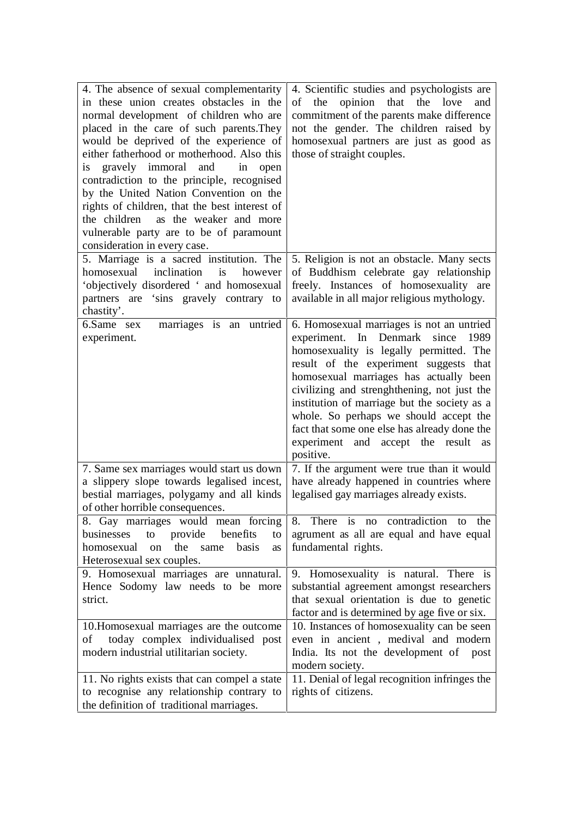| 4. The absence of sexual complementarity<br>in these union creates obstacles in the<br>normal development of children who are<br>placed in the care of such parents. They<br>would be deprived of the experience of<br>either fatherhood or motherhood. Also this<br>gravely immoral and<br>in<br>is<br>open<br>contradiction to the principle, recognised<br>by the United Nation Convention on the<br>rights of children, that the best interest of<br>the children<br>as the weaker and more<br>vulnerable party are to be of paramount<br>consideration in every case. | 4. Scientific studies and psychologists are<br>opinion that<br>the love<br>of the<br>and<br>commitment of the parents make difference<br>not the gender. The children raised by<br>homosexual partners are just as good as<br>those of straight couples.                                                                                                                                                                                                            |
|----------------------------------------------------------------------------------------------------------------------------------------------------------------------------------------------------------------------------------------------------------------------------------------------------------------------------------------------------------------------------------------------------------------------------------------------------------------------------------------------------------------------------------------------------------------------------|---------------------------------------------------------------------------------------------------------------------------------------------------------------------------------------------------------------------------------------------------------------------------------------------------------------------------------------------------------------------------------------------------------------------------------------------------------------------|
| 5. Marriage is a sacred institution. The<br>homosexual inclination<br>is<br>however<br>'objectively disordered ' and homosexual<br>partners are 'sins gravely contrary to<br>chastity'.                                                                                                                                                                                                                                                                                                                                                                                    | 5. Religion is not an obstacle. Many sects<br>of Buddhism celebrate gay relationship<br>freely. Instances of homosexuality are<br>available in all major religious mythology.                                                                                                                                                                                                                                                                                       |
| marriages is an<br>untried<br>6.Same sex<br>experiment.                                                                                                                                                                                                                                                                                                                                                                                                                                                                                                                    | 6. Homosexual marriages is not an untried<br>experiment. In Denmark<br>since<br>1989<br>homosexuality is legally permitted. The<br>result of the experiment suggests that<br>homosexual marriages has actually been<br>civilizing and strenghthening, not just the<br>institution of marriage but the society as a<br>whole. So perhaps we should accept the<br>fact that some one else has already done the<br>experiment and accept the result<br>as<br>positive. |
| 7. Same sex marriages would start us down<br>a slippery slope towards legalised incest,<br>bestial marriages, polygamy and all kinds<br>of other horrible consequences.                                                                                                                                                                                                                                                                                                                                                                                                    | 7. If the argument were true than it would<br>have already happened in countries where<br>legalised gay marriages already exists.                                                                                                                                                                                                                                                                                                                                   |
| 8. Gay marriages would mean forcing<br>businesses<br>to<br>provide<br>benefits<br>to<br>the<br>homosexual<br><sub>on</sub><br>same<br>basis<br>as<br>Heterosexual sex couples.                                                                                                                                                                                                                                                                                                                                                                                             | 8. There is no contradiction to the<br>agrument as all are equal and have equal<br>fundamental rights.                                                                                                                                                                                                                                                                                                                                                              |
| 9. Homosexual marriages are unnatural.<br>Hence Sodomy law needs to be more<br>strict.                                                                                                                                                                                                                                                                                                                                                                                                                                                                                     | 9. Homosexuality is natural. There is<br>substantial agreement amongst researchers<br>that sexual orientation is due to genetic<br>factor and is determined by age five or six.                                                                                                                                                                                                                                                                                     |
| 10. Homosexual marriages are the outcome<br>today complex individualised post<br>οf<br>modern industrial utilitarian society.                                                                                                                                                                                                                                                                                                                                                                                                                                              | 10. Instances of homosexuality can be seen<br>even in ancient, medival and modern<br>India. Its not the development of post<br>modern society.                                                                                                                                                                                                                                                                                                                      |
| 11. No rights exists that can compel a state<br>to recognise any relationship contrary to<br>the definition of traditional marriages.                                                                                                                                                                                                                                                                                                                                                                                                                                      | 11. Denial of legal recognition infringes the<br>rights of citizens.                                                                                                                                                                                                                                                                                                                                                                                                |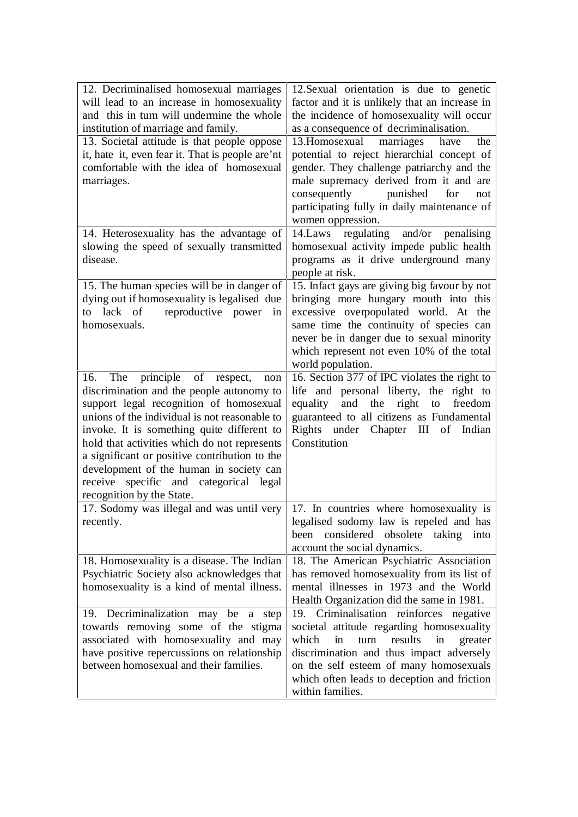| 12. Decriminalised homosexual marriages<br>will lead to an increase in homosexuality            | 12. Sexual orientation is due to genetic<br>factor and it is unlikely that an increase in |
|-------------------------------------------------------------------------------------------------|-------------------------------------------------------------------------------------------|
| and this in turn will undermine the whole<br>institution of marriage and family.                | the incidence of homosexuality will occur<br>as a consequence of decriminalisation.       |
|                                                                                                 |                                                                                           |
| 13. Societal attitude is that people oppose<br>it, hate it, even fear it. That is people are'nt | 13. Homosexual marriages<br>have<br>the<br>potential to reject hierarchial concept of     |
| comfortable with the idea of homosexual                                                         | gender. They challenge patriarchy and the                                                 |
| marriages.                                                                                      | male supremacy derived from it and are                                                    |
|                                                                                                 | consequently punished<br>for<br>not                                                       |
|                                                                                                 | participating fully in daily maintenance of<br>women oppression.                          |
| 14. Heterosexuality has the advantage of                                                        | regulating and/or penalising<br>14.Laws                                                   |
| slowing the speed of sexually transmitted                                                       | homosexual activity impede public health                                                  |
| disease.                                                                                        | programs as it drive underground many                                                     |
|                                                                                                 | people at risk.                                                                           |
| 15. The human species will be in danger of                                                      | 15. Infact gays are giving big favour by not                                              |
| dying out if homosexuality is legalised due<br>lack of<br>reproductive power<br>in<br>to        | bringing more hungary mouth into this<br>excessive overpopulated world. At the            |
| homosexuals.                                                                                    | same time the continuity of species can                                                   |
|                                                                                                 | never be in danger due to sexual minority                                                 |
|                                                                                                 | which represent not even 10% of the total                                                 |
|                                                                                                 | world population.                                                                         |
| principle<br>of respect,<br>The<br>16.<br>non                                                   | 16. Section 377 of IPC violates the right to                                              |
| discrimination and the people autonomy to<br>support legal recognition of homosexual            | life and personal liberty, the right to<br>and the<br>freedom                             |
| unions of the individual is not reasonable to                                                   | right<br>equality<br>to<br>guaranteed to all citizens as Fundamental                      |
| invoke. It is something quite different to                                                      | Rights under Chapter III of<br>Indian                                                     |
| hold that activities which do not represents                                                    | Constitution                                                                              |
| a significant or positive contribution to the                                                   |                                                                                           |
| development of the human in society can                                                         |                                                                                           |
| receive specific and categorical legal                                                          |                                                                                           |
| recognition by the State.<br>17. Sodomy was illegal and was until very                          | 17. In countries where homosexuality is                                                   |
| recently.                                                                                       | legalised sodomy law is repeled and has                                                   |
|                                                                                                 | been considered obsolete<br>taking<br>into                                                |
|                                                                                                 | account the social dynamics.                                                              |
| 18. Homosexuality is a disease. The Indian                                                      | 18. The American Psychiatric Association                                                  |
| Psychiatric Society also acknowledges that                                                      | has removed homosexuality from its list of                                                |
| homosexuality is a kind of mental illness.                                                      | mental illnesses in 1973 and the World<br>Health Organization did the same in 1981.       |
| 19. Decriminalization may be<br>a<br>step                                                       | 19. Criminalisation reinforces negative                                                   |
| towards removing some of the stigma                                                             | societal attitude regarding homosexuality                                                 |
| associated with homosexuality and may                                                           | which<br>results<br>in<br>turn<br>$\operatorname{in}$<br>greater                          |
| have positive repercussions on relationship                                                     | discrimination and thus impact adversely                                                  |
| between homosexual and their families.                                                          | on the self esteem of many homosexuals                                                    |
|                                                                                                 | which often leads to deception and friction<br>within families.                           |
|                                                                                                 |                                                                                           |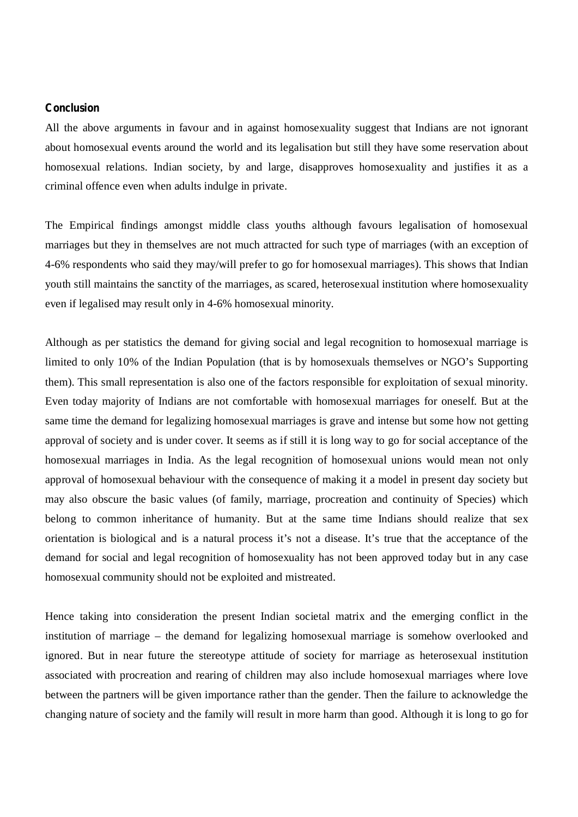#### **Conclusion**

All the above arguments in favour and in against homosexuality suggest that Indians are not ignorant about homosexual events around the world and its legalisation but still they have some reservation about homosexual relations. Indian society, by and large, disapproves homosexuality and justifies it as a criminal offence even when adults indulge in private.

The Empirical findings amongst middle class youths although favours legalisation of homosexual marriages but they in themselves are not much attracted for such type of marriages (with an exception of 4-6% respondents who said they may/will prefer to go for homosexual marriages). This shows that Indian youth still maintains the sanctity of the marriages, as scared, heterosexual institution where homosexuality even if legalised may result only in 4-6% homosexual minority.

Although as per statistics the demand for giving social and legal recognition to homosexual marriage is limited to only 10% of the Indian Population (that is by homosexuals themselves or NGO's Supporting them). This small representation is also one of the factors responsible for exploitation of sexual minority. Even today majority of Indians are not comfortable with homosexual marriages for oneself. But at the same time the demand for legalizing homosexual marriages is grave and intense but some how not getting approval of society and is under cover. It seems as if still it is long way to go for social acceptance of the homosexual marriages in India. As the legal recognition of homosexual unions would mean not only approval of homosexual behaviour with the consequence of making it a model in present day society but may also obscure the basic values (of family, marriage, procreation and continuity of Species) which belong to common inheritance of humanity. But at the same time Indians should realize that sex orientation is biological and is a natural process it's not a disease. It's true that the acceptance of the demand for social and legal recognition of homosexuality has not been approved today but in any case homosexual community should not be exploited and mistreated.

Hence taking into consideration the present Indian societal matrix and the emerging conflict in the institution of marriage – the demand for legalizing homosexual marriage is somehow overlooked and ignored. But in near future the stereotype attitude of society for marriage as heterosexual institution associated with procreation and rearing of children may also include homosexual marriages where love between the partners will be given importance rather than the gender. Then the failure to acknowledge the changing nature of society and the family will result in more harm than good. Although it is long to go for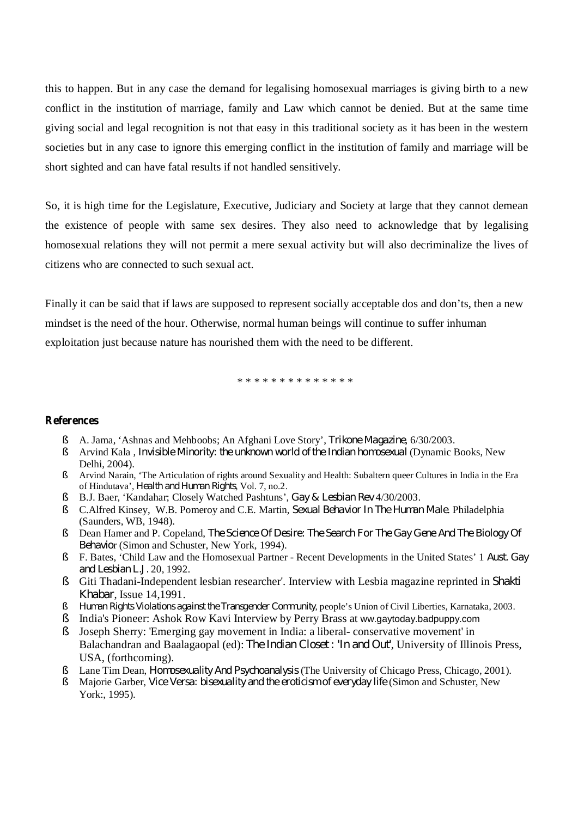this to happen. But in any case the demand for legalising homosexual marriages is giving birth to a new conflict in the institution of marriage, family and Law which cannot be denied. But at the same time giving social and legal recognition is not that easy in this traditional society as it has been in the western societies but in any case to ignore this emerging conflict in the institution of family and marriage will be short sighted and can have fatal results if not handled sensitively.

So, it is high time for the Legislature, Executive, Judiciary and Society at large that they cannot demean the existence of people with same sex desires. They also need to acknowledge that by legalising homosexual relations they will not permit a mere sexual activity but will also decriminalize the lives of citizens who are connected to such sexual act.

Finally it can be said that if laws are supposed to represent socially acceptable dos and don'ts, then a new mindset is the need of the hour. Otherwise, normal human beings will continue to suffer inhuman exploitation just because nature has nourished them with the need to be different.

\* \* \* \* \* \* \* \* \* \* \* \* \*

### **References**

- § A. Jama, 'Ashnas and Mehboobs; An Afghani Love Story', *Trikone Magazine*, 6/30/2003.
- § Arvind Kala , *Invisible Minority: the unknown world of the Indian homosexual* (Dynamic Books, New Delhi, 2004).
- § Arvind Narain, 'The Articulation of rights around Sexuality and Health: Subaltern queer Cultures in India in the Era of Hindutava', *Health and Human Rights*, Vol. 7, no.2.
- § B.J. Baer, 'Kandahar; Closely Watched Pashtuns', *Gay & Lesbian Rev* 4/30/2003.
- § C.Alfred Kinsey, W.B. Pomeroy and C.E. Martin, *Sexual Behavior In The Human Male*. Philadelphia (Saunders, WB, 1948).
- § Dean Hamer and P. Copeland, *The Science Of Desire: The Search For The Gay Gene And The Biology Of Behavio*r (Simon and Schuster, New York, 1994).
- § F. Bates, 'Child Law and the Homosexual Partner Recent Developments in the United States' 1 *Aust. Gay and Lesbian L.J.* 20, 1992.
- § Giti Thadani-Independent lesbian researcher'. Interview with Lesbia magazine reprinted in *Shakti Khabar*, Issue 14,1991.
- § *Human Rights Violations against the Transgender Community*, people's Union of Civil Liberties, Karnataka, 2003.
- § India's Pioneer: Ashok Row Kavi Interview by Perry Brass at ww.gaytoday.badpuppy.com
- § Joseph Sherry: 'Emerging gay movement in India: a liberal- conservative movement' in Balachandran and Baalagaopal (ed): *The Indian Closet : 'In and Out'*, University of Illinois Press, USA, (forthcoming).
- § Lane Tim Dean, *Homosexuality And Psychoanalysis* (The University of Chicago Press, Chicago, 2001).
- § Majorie Garber, *Vice Versa: bisexuality and the eroticism of everyday life* (Simon and Schuster, New York:, 1995).